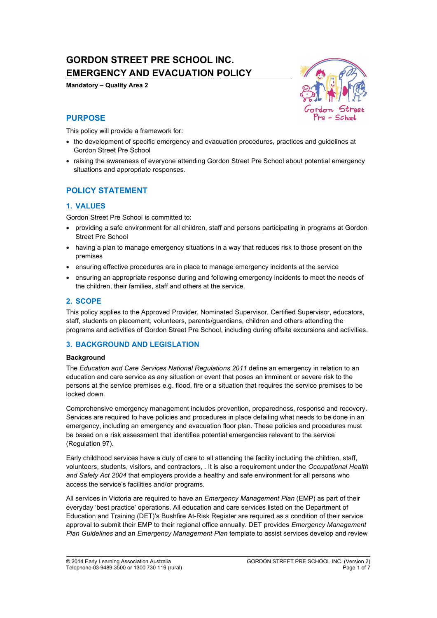# **GORDON STREET PRE SCHOOL INC. EMERGENCY AND EVACUATION POLICY**

**Mandatory – Quality Area 2** 



## **PURPOSE**

This policy will provide a framework for:

- the development of specific emergency and evacuation procedures, practices and guidelines at Gordon Street Pre School
- raising the awareness of everyone attending Gordon Street Pre School about potential emergency situations and appropriate responses.

# **POLICY STATEMENT**

## **1. VALUES**

Gordon Street Pre School is committed to:

- providing a safe environment for all children, staff and persons participating in programs at Gordon Street Pre School
- having a plan to manage emergency situations in a way that reduces risk to those present on the premises
- ensuring effective procedures are in place to manage emergency incidents at the service
- ensuring an appropriate response during and following emergency incidents to meet the needs of the children, their families, staff and others at the service.

## **2. SCOPE**

This policy applies to the Approved Provider, Nominated Supervisor, Certified Supervisor, educators, staff, students on placement, volunteers, parents/guardians, children and others attending the programs and activities of Gordon Street Pre School, including during offsite excursions and activities.

## **3. BACKGROUND AND LEGISLATION**

#### **Background**

The *Education and Care Services National Regulations 2011* define an emergency in relation to an education and care service as any situation or event that poses an imminent or severe risk to the persons at the service premises e.g. flood, fire or a situation that requires the service premises to be locked down.

Comprehensive emergency management includes prevention, preparedness, response and recovery. Services are required to have policies and procedures in place detailing what needs to be done in an emergency, including an emergency and evacuation floor plan. These policies and procedures must be based on a risk assessment that identifies potential emergencies relevant to the service (Regulation 97).

Early childhood services have a duty of care to all attending the facility including the children, staff, volunteers, students, visitors, and contractors, . It is also a requirement under the *Occupational Health and Safety Act 2004* that employers provide a healthy and safe environment for all persons who access the service's facilities and/or programs.

All services in Victoria are required to have an *Emergency Management Plan* (EMP) as part of their everyday 'best practice' operations. All education and care services listed on the Department of Education and Training (DET)'s Bushfire At-Risk Register are required as a condition of their service approval to submit their EMP to their regional office annually. DET provides *Emergency Management Plan Guidelines* and an *Emergency Management Plan* template to assist services develop and review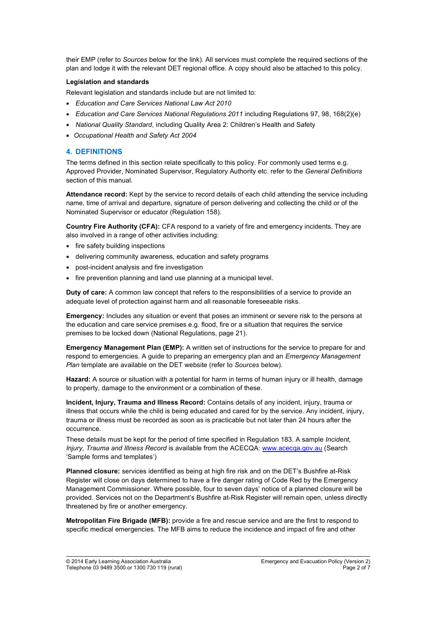their EMP (refer to *Sources* below for the link). All services must complete the required sections of the plan and lodge it with the relevant DET regional office. A copy should also be attached to this policy.

#### **Legislation and standards**

Relevant legislation and standards include but are not limited to:

- x *Education and Care Services National Law Act 2010*
- x *Education and Care Services National Regulations 2011* including Regulations 97, 98, 168(2)(e)
- x *National Quality Standard*, including Quality Area 2: Children's Health and Safety
- x *Occupational Health and Safety Act 2004*

#### **4. DEFINITIONS**

The terms defined in this section relate specifically to this policy. For commonly used terms e.g. Approved Provider, Nominated Supervisor, Regulatory Authority etc. refer to the *General Definitions* section of this manual.

**Attendance record:** Kept by the service to record details of each child attending the service including name, time of arrival and departure, signature of person delivering and collecting the child or of the Nominated Supervisor or educator (Regulation 158).

**Country Fire Authority (CFA):** CFA respond to a variety of fire and emergency incidents. They are also involved in a range of other activities including:

- $\bullet$  fire safety building inspections
- delivering community awareness, education and safety programs
- post-incident analysis and fire investigation
- fire prevention planning and land use planning at a municipal level.

**Duty of care:** A common law concept that refers to the responsibilities of a service to provide an adequate level of protection against harm and all reasonable foreseeable risks.

**Emergency:** Includes any situation or event that poses an imminent or severe risk to the persons at the education and care service premises e.g. flood, fire or a situation that requires the service premises to be locked down (National Regulations, page 21).

**Emergency Management Plan (EMP):** A written set of instructions for the service to prepare for and respond to emergencies. A guide to preparing an emergency plan and an *Emergency Management Plan* template are available on the DET website (refer to *Sources* below).

**Hazard:** A source or situation with a potential for harm in terms of human injury or ill health, damage to property, damage to the environment or a combination of these.

**Incident, Injury, Trauma and Illness Record:** Contains details of any incident, injury, trauma or illness that occurs while the child is being educated and cared for by the service. Any incident, injury, trauma or illness must be recorded as soon as is practicable but not later than 24 hours after the occurrence.

These details must be kept for the period of time specified in Regulation 183. A sample *Incident, Injury, Trauma and Illness Record* is available from the ACECQA: www.acecqa.gov.au (Search 'Sample forms and templates')

**Planned closure:** services identified as being at high fire risk and on the DET's Bushfire at-Risk Register will close on days determined to have a fire danger rating of Code Red by the Emergency Management Commissioner. Where possible, four to seven days' notice of a planned closure will be provided. Services not on the Department's Bushfire at-Risk Register will remain open, unless directly threatened by fire or another emergency.

**Metropolitan Fire Brigade (MFB):** provide a fire and rescue service and are the first to respond to specific medical emergencies. The MFB aims to reduce the incidence and impact of fire and other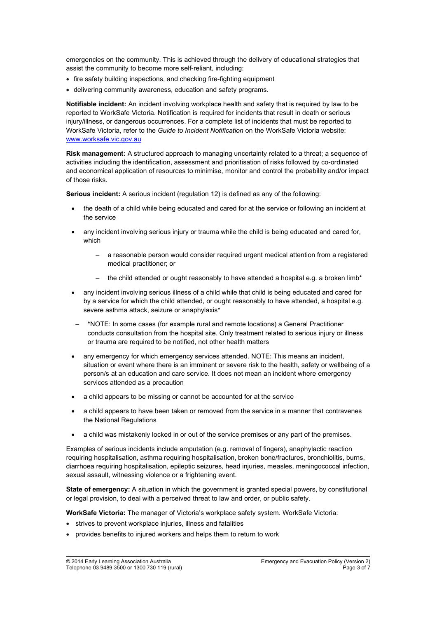emergencies on the community. This is achieved through the delivery of educational strategies that assist the community to become more self-reliant, including:

- fire safety building inspections, and checking fire-fighting equipment
- delivering community awareness, education and safety programs.

**Notifiable incident:** An incident involving workplace health and safety that is required by law to be reported to WorkSafe Victoria. Notification is required for incidents that result in death or serious injury/illness, or dangerous occurrences. For a complete list of incidents that must be reported to WorkSafe Victoria, refer to the *Guide to Incident Notification* on the WorkSafe Victoria website: www.worksafe.vic.gov.au

**Risk management:** A structured approach to managing uncertainty related to a threat; a sequence of activities including the identification, assessment and prioritisation of risks followed by co-ordinated and economical application of resources to minimise, monitor and control the probability and/or impact of those risks.

**Serious incident:** A serious incident (regulation 12) is defined as any of the following:

- the death of a child while being educated and cared for at the service or following an incident at the service
- any incident involving serious injury or trauma while the child is being educated and cared for, which
	- a reasonable person would consider required urgent medical attention from a registered medical practitioner; or
	- the child attended or ought reasonably to have attended a hospital e.g. a broken limb\*
- any incident involving serious illness of a child while that child is being educated and cared for by a service for which the child attended, or ought reasonably to have attended, a hospital e.g. severe asthma attack, seizure or anaphylaxis\*
- \*NOTE: In some cases (for example rural and remote locations) a General Practitioner conducts consultation from the hospital site. Only treatment related to serious injury or illness or trauma are required to be notified, not other health matters
- any emergency for which emergency services attended. NOTE: This means an incident, situation or event where there is an imminent or severe risk to the health, safety or wellbeing of a person/s at an education and care service. It does not mean an incident where emergency services attended as a precaution
- a child appears to be missing or cannot be accounted for at the service
- a child appears to have been taken or removed from the service in a manner that contravenes the National Regulations
- a child was mistakenly locked in or out of the service premises or any part of the premises.

Examples of serious incidents include amputation (e.g. removal of fingers), anaphylactic reaction requiring hospitalisation, asthma requiring hospitalisation, broken bone/fractures, bronchiolitis, burns, diarrhoea requiring hospitalisation, epileptic seizures, head injuries, measles, meningococcal infection, sexual assault, witnessing violence or a frightening event.

**State of emergency:** A situation in which the government is granted special powers, by constitutional or legal provision, to deal with a perceived threat to law and order, or public safety.

**WorkSafe Victoria:** The manager of Victoria's workplace safety system. WorkSafe Victoria:

- strives to prevent workplace injuries, illness and fatalities
- provides benefits to injured workers and helps them to return to work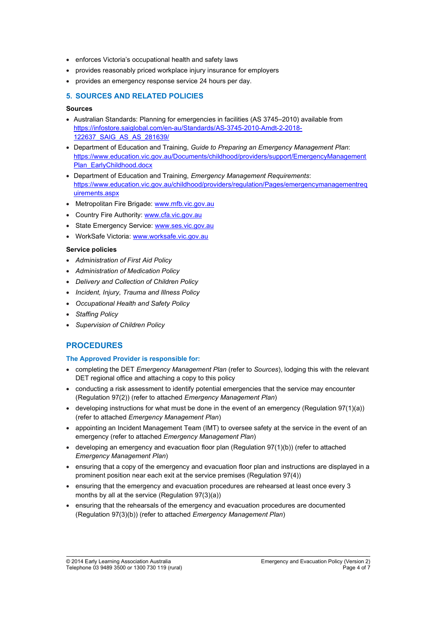- enforces Victoria's occupational health and safety laws
- provides reasonably priced workplace injury insurance for employers
- provides an emergency response service 24 hours per day.

# **5. SOURCES AND RELATED POLICIES**

### **Sources**

- Australian Standards: Planning for emergencies in facilities (AS 3745–2010) available from https://infostore.saiglobal.com/en-au/Standards/AS-3745-2010-Amdt-2-2018- 122637\_SAIG\_AS\_AS\_281639/
- x Department of Education and Training, *Guide to Preparing an Emergency Management Plan*: https://www.education.vic.gov.au/Documents/childhood/providers/support/EmergencyManagement Plan\_EarlyChildhood.docx
- x Department of Education and Training, *Emergency Management Requirements*: https://www.education.vic.gov.au/childhood/providers/regulation/Pages/emergencymanagementreq uirements.aspx
- Metropolitan Fire Brigade: www.mfb.vic.gov.au
- Country Fire Authority: www.cfa.vic.gov.au
- State Emergency Service: www.ses.vic.gov.au
- WorkSafe Victoria: www.worksafe.vic.gov.au

## **Service policies**

- x *Administration of First Aid Policy*
- x *Administration of Medication Policy*
- x *Delivery and Collection of Children Policy*
- x *Incident, Injury, Trauma and Illness Policy*
- x *Occupational Health and Safety Policy*
- x *Staffing Policy*
- x *Supervision of Children Policy*

# **PROCEDURES**

## **The Approved Provider is responsible for:**

- x completing the DET *Emergency Management Plan* (refer to *Sources*), lodging this with the relevant DET regional office and attaching a copy to this policy
- conducting a risk assessment to identify potential emergencies that the service may encounter (Regulation 97(2)) (refer to attached *Emergency Management Plan*)
- developing instructions for what must be done in the event of an emergency (Regulation  $97(1)(a)$ ) (refer to attached *Emergency Management Plan*)
- appointing an Incident Management Team (IMT) to oversee safety at the service in the event of an emergency (refer to attached *Emergency Management Plan*)
- developing an emergency and evacuation floor plan (Regulation  $97(1)(b)$ ) (refer to attached *Emergency Management Plan*)
- ensuring that a copy of the emergency and evacuation floor plan and instructions are displayed in a prominent position near each exit at the service premises (Regulation 97(4))
- ensuring that the emergency and evacuation procedures are rehearsed at least once every 3 months by all at the service (Regulation 97(3)(a))
- ensuring that the rehearsals of the emergency and evacuation procedures are documented (Regulation 97(3)(b)) (refer to attached *Emergency Management Plan*)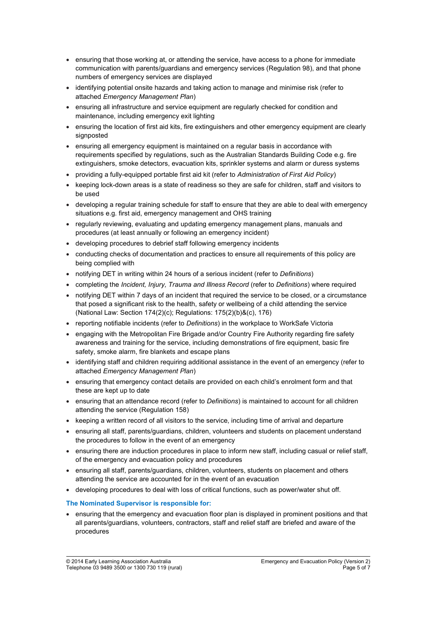- ensuring that those working at, or attending the service, have access to a phone for immediate communication with parents/guardians and emergency services (Regulation 98), and that phone numbers of emergency services are displayed
- identifying potential onsite hazards and taking action to manage and minimise risk (refer to attached *Emergency Management Plan*)
- ensuring all infrastructure and service equipment are regularly checked for condition and maintenance, including emergency exit lighting
- ensuring the location of first aid kits, fire extinguishers and other emergency equipment are clearly signposted
- ensuring all emergency equipment is maintained on a regular basis in accordance with requirements specified by regulations, such as the Australian Standards Building Code e.g. fire extinguishers, smoke detectors, evacuation kits, sprinkler systems and alarm or duress systems
- **•** providing a fully-equipped portable first aid kit (refer to *Administration of First Aid Policy*)
- keeping lock-down areas is a state of readiness so they are safe for children, staff and visitors to be used
- developing a regular training schedule for staff to ensure that they are able to deal with emergency situations e.g. first aid, emergency management and OHS training
- regularly reviewing, evaluating and updating emergency management plans, manuals and procedures (at least annually or following an emergency incident)
- developing procedures to debrief staff following emergency incidents
- conducting checks of documentation and practices to ensure all requirements of this policy are being complied with
- x notifying DET in writing within 24 hours of a serious incident (refer to *Definitions*)
- x completing the *Incident, Injury, Trauma and Illness Record* (refer to *Definitions*) where required
- notifying DET within 7 days of an incident that required the service to be closed, or a circumstance that posed a significant risk to the health, safety or wellbeing of a child attending the service (National Law: Section 174(2)(c); Regulations: 175(2)(b)&(c), 176)
- x reporting notifiable incidents (refer to *Definitions*) in the workplace to WorkSafe Victoria
- engaging with the Metropolitan Fire Brigade and/or Country Fire Authority regarding fire safety awareness and training for the service, including demonstrations of fire equipment, basic fire safety, smoke alarm, fire blankets and escape plans
- identifying staff and children requiring additional assistance in the event of an emergency (refer to attached *Emergency Management Plan*)
- ensuring that emergency contact details are provided on each child's enrolment form and that these are kept up to date
- **•** ensuring that an attendance record (refer to *Definitions*) is maintained to account for all children attending the service (Regulation 158)
- keeping a written record of all visitors to the service, including time of arrival and departure
- ensuring all staff, parents/guardians, children, volunteers and students on placement understand the procedures to follow in the event of an emergency
- ensuring there are induction procedures in place to inform new staff, including casual or relief staff, of the emergency and evacuation policy and procedures
- ensuring all staff, parents/guardians, children, volunteers, students on placement and others attending the service are accounted for in the event of an evacuation
- developing procedures to deal with loss of critical functions, such as power/water shut off.

## **The Nominated Supervisor is responsible for:**

• ensuring that the emergency and evacuation floor plan is displayed in prominent positions and that all parents/guardians, volunteers, contractors, staff and relief staff are briefed and aware of the procedures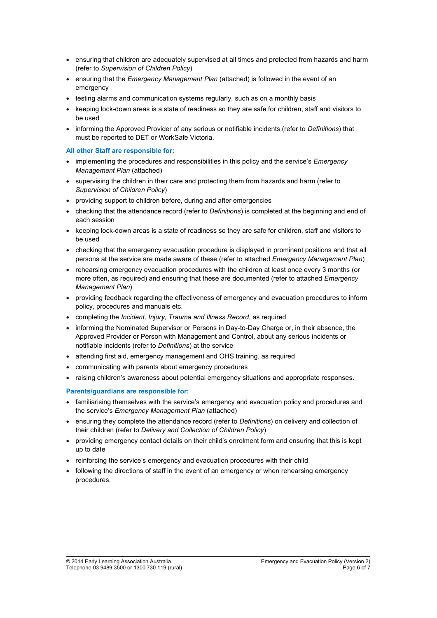- ensuring that children are adequately supervised at all times and protected from hazards and harm (refer to *Supervision of Children Policy*)
- ensuring that the *Emergency Management Plan* (attached) is followed in the event of an emergency
- testing alarms and communication systems regularly, such as on a monthly basis
- keeping lock-down areas is a state of readiness so they are safe for children, staff and visitors to be used
- x informing the Approved Provider of any serious or notifiable incidents (refer to *Definitions*) that must be reported to DET or WorkSafe Victoria.

### **All other Staff are responsible for:**

- implementing the procedures and responsibilities in this policy and the service's *Emergency Management Plan* (attached)
- supervising the children in their care and protecting them from hazards and harm (refer to *Supervision of Children Policy*)
- providing support to children before, during and after emergencies
- x checking that the attendance record (refer to *Definitions*) is completed at the beginning and end of each session
- keeping lock-down areas is a state of readiness so they are safe for children, staff and visitors to be used
- checking that the emergency evacuation procedure is displayed in prominent positions and that all persons at the service are made aware of these (refer to attached *Emergency Management Plan*)
- rehearsing emergency evacuation procedures with the children at least once every 3 months (or more often, as required) and ensuring that these are documented (refer to attached *Emergency Management Plan*)
- providing feedback regarding the effectiveness of emergency and evacuation procedures to inform policy, procedures and manuals etc.
- x completing the *Incident, Injury, Trauma and Illness Record*, as required
- $\bullet$  informing the Nominated Supervisor or Persons in Day-to-Day Charge or, in their absence, the Approved Provider or Person with Management and Control, about any serious incidents or notifiable incidents (refer to *Definitions*) at the service
- attending first aid, emergency management and OHS training, as required
- communicating with parents about emergency procedures
- raising children's awareness about potential emergency situations and appropriate responses.

## **Parents/guardians are responsible for:**

- familiarising themselves with the service's emergency and evacuation policy and procedures and the service's *Emergency Management Plan* (attached)
- x ensuring they complete the attendance record (refer to *Definitions*) on delivery and collection of their children (refer to *Delivery and Collection of Children Policy*)
- providing emergency contact details on their child's enrolment form and ensuring that this is kept up to date
- reinforcing the service's emergency and evacuation procedures with their child
- following the directions of staff in the event of an emergency or when rehearsing emergency procedures.